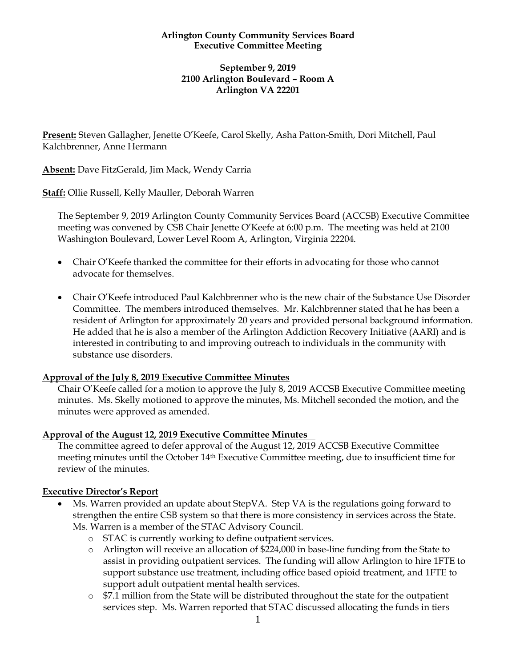#### **Arlington County Community Services Board Executive Committee Meeting**

### **September 9, 2019 2100 Arlington Boulevard – Room A Arlington VA 22201**

**Present:** Steven Gallagher, Jenette O'Keefe, Carol Skelly, Asha Patton-Smith, Dori Mitchell, Paul Kalchbrenner, Anne Hermann

**Absent:** Dave FitzGerald, Jim Mack, Wendy Carria

**Staff:** Ollie Russell, Kelly Mauller, Deborah Warren

The September 9, 2019 Arlington County Community Services Board (ACCSB) Executive Committee meeting was convened by CSB Chair Jenette O'Keefe at 6:00 p.m. The meeting was held at 2100 Washington Boulevard, Lower Level Room A, Arlington, Virginia 22204.

- Chair O'Keefe thanked the committee for their efforts in advocating for those who cannot advocate for themselves.
- Chair O'Keefe introduced Paul Kalchbrenner who is the new chair of the Substance Use Disorder Committee. The members introduced themselves. Mr. Kalchbrenner stated that he has been a resident of Arlington for approximately 20 years and provided personal background information. He added that he is also a member of the Arlington Addiction Recovery Initiative (AARI) and is interested in contributing to and improving outreach to individuals in the community with substance use disorders.

# **Approval of the July 8, 2019 Executive Committee Minutes**

Chair O'Keefe called for a motion to approve the July 8, 2019 ACCSB Executive Committee meeting minutes. Ms. Skelly motioned to approve the minutes, Ms. Mitchell seconded the motion, and the minutes were approved as amended.

### **Approval of the August 12, 2019 Executive Committee Minutes**

The committee agreed to defer approval of the August 12, 2019 ACCSB Executive Committee meeting minutes until the October 14th Executive Committee meeting, due to insufficient time for review of the minutes.

### **Executive Director's Report**

- Ms. Warren provided an update about StepVA. Step VA is the regulations going forward to strengthen the entire CSB system so that there is more consistency in services across the State. Ms. Warren is a member of the STAC Advisory Council.
	- o STAC is currently working to define outpatient services.
	- o Arlington will receive an allocation of \$224,000 in base-line funding from the State to assist in providing outpatient services. The funding will allow Arlington to hire 1FTE to support substance use treatment, including office based opioid treatment, and 1FTE to support adult outpatient mental health services.
	- $\circ$  \$7.1 million from the State will be distributed throughout the state for the outpatient services step. Ms. Warren reported that STAC discussed allocating the funds in tiers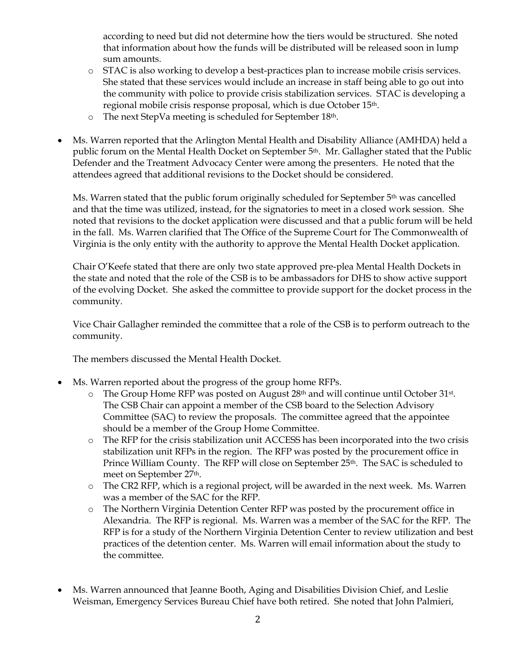according to need but did not determine how the tiers would be structured. She noted that information about how the funds will be distributed will be released soon in lump sum amounts.

- o STAC is also working to develop a best-practices plan to increase mobile crisis services. She stated that these services would include an increase in staff being able to go out into the community with police to provide crisis stabilization services. STAC is developing a regional mobile crisis response proposal, which is due October 15th.
- o The next StepVa meeting is scheduled for September 18th.
- Ms. Warren reported that the Arlington Mental Health and Disability Alliance (AMHDA) held a public forum on the Mental Health Docket on September 5th. Mr. Gallagher stated that the Public Defender and the Treatment Advocacy Center were among the presenters. He noted that the attendees agreed that additional revisions to the Docket should be considered.

Ms. Warren stated that the public forum originally scheduled for September 5<sup>th</sup> was cancelled and that the time was utilized, instead, for the signatories to meet in a closed work session. She noted that revisions to the docket application were discussed and that a public forum will be held in the fall. Ms. Warren clarified that The Office of the Supreme Court for The Commonwealth of Virginia is the only entity with the authority to approve the Mental Health Docket application.

Chair O'Keefe stated that there are only two state approved pre-plea Mental Health Dockets in the state and noted that the role of the CSB is to be ambassadors for DHS to show active support of the evolving Docket. She asked the committee to provide support for the docket process in the community.

Vice Chair Gallagher reminded the committee that a role of the CSB is to perform outreach to the community.

The members discussed the Mental Health Docket.

- Ms. Warren reported about the progress of the group home RFPs.
	- $\circ$  The Group Home RFP was posted on August 28<sup>th</sup> and will continue until October 31<sup>st</sup>. The CSB Chair can appoint a member of the CSB board to the Selection Advisory Committee (SAC) to review the proposals. The committee agreed that the appointee should be a member of the Group Home Committee.
	- o The RFP for the crisis stabilization unit ACCESS has been incorporated into the two crisis stabilization unit RFPs in the region. The RFP was posted by the procurement office in Prince William County. The RFP will close on September 25<sup>th</sup>. The SAC is scheduled to meet on September 27th.
	- o The CR2 RFP, which is a regional project, will be awarded in the next week. Ms. Warren was a member of the SAC for the RFP.
	- o The Northern Virginia Detention Center RFP was posted by the procurement office in Alexandria. The RFP is regional. Ms. Warren was a member of the SAC for the RFP. The RFP is for a study of the Northern Virginia Detention Center to review utilization and best practices of the detention center. Ms. Warren will email information about the study to the committee.
- Ms. Warren announced that Jeanne Booth, Aging and Disabilities Division Chief, and Leslie Weisman, Emergency Services Bureau Chief have both retired. She noted that John Palmieri,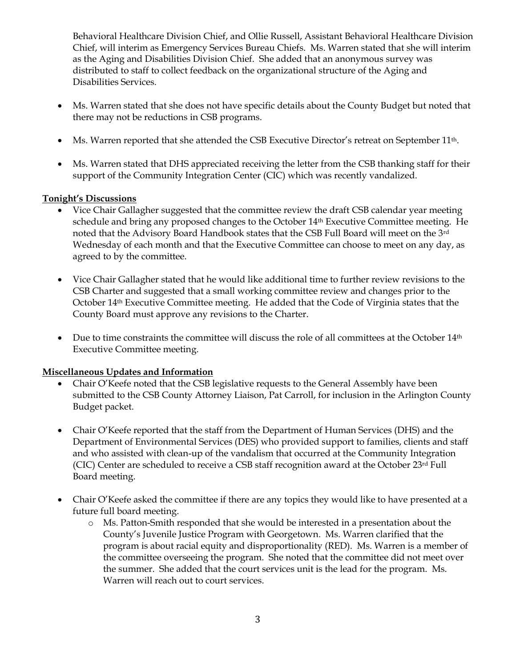Behavioral Healthcare Division Chief, and Ollie Russell, Assistant Behavioral Healthcare Division Chief, will interim as Emergency Services Bureau Chiefs. Ms. Warren stated that she will interim as the Aging and Disabilities Division Chief. She added that an anonymous survey was distributed to staff to collect feedback on the organizational structure of the Aging and Disabilities Services.

- Ms. Warren stated that she does not have specific details about the County Budget but noted that there may not be reductions in CSB programs.
- Ms. Warren reported that she attended the CSB Executive Director's retreat on September 11<sup>th</sup>.
- Ms. Warren stated that DHS appreciated receiving the letter from the CSB thanking staff for their support of the Community Integration Center (CIC) which was recently vandalized.

## **Tonight's Discussions**

- Vice Chair Gallagher suggested that the committee review the draft CSB calendar year meeting schedule and bring any proposed changes to the October 14th Executive Committee meeting. He noted that the Advisory Board Handbook states that the CSB Full Board will meet on the 3rd Wednesday of each month and that the Executive Committee can choose to meet on any day, as agreed to by the committee.
- Vice Chair Gallagher stated that he would like additional time to further review revisions to the CSB Charter and suggested that a small working committee review and changes prior to the October 14th Executive Committee meeting. He added that the Code of Virginia states that the County Board must approve any revisions to the Charter.
- Due to time constraints the committee will discuss the role of all committees at the October  $14<sup>th</sup>$ Executive Committee meeting.

### **Miscellaneous Updates and Information**

- Chair O'Keefe noted that the CSB legislative requests to the General Assembly have been submitted to the CSB County Attorney Liaison, Pat Carroll, for inclusion in the Arlington County Budget packet.
- Chair O'Keefe reported that the staff from the Department of Human Services (DHS) and the Department of Environmental Services (DES) who provided support to families, clients and staff and who assisted with clean-up of the vandalism that occurred at the Community Integration (CIC) Center are scheduled to receive a CSB staff recognition award at the October 23rd Full Board meeting.
- Chair O'Keefe asked the committee if there are any topics they would like to have presented at a future full board meeting.
	- o Ms. Patton-Smith responded that she would be interested in a presentation about the County's Juvenile Justice Program with Georgetown. Ms. Warren clarified that the program is about racial equity and disproportionality (RED). Ms. Warren is a member of the committee overseeing the program. She noted that the committee did not meet over the summer. She added that the court services unit is the lead for the program. Ms. Warren will reach out to court services.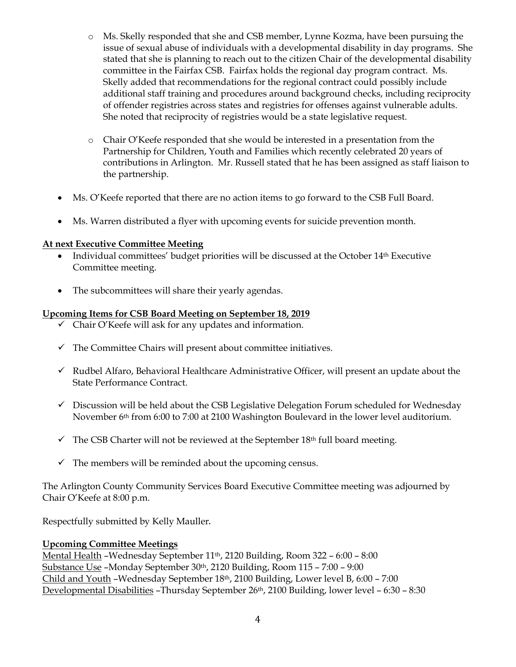- o Ms. Skelly responded that she and CSB member, Lynne Kozma, have been pursuing the issue of sexual abuse of individuals with a developmental disability in day programs. She stated that she is planning to reach out to the citizen Chair of the developmental disability committee in the Fairfax CSB. Fairfax holds the regional day program contract. Ms. Skelly added that recommendations for the regional contract could possibly include additional staff training and procedures around background checks, including reciprocity of offender registries across states and registries for offenses against vulnerable adults. She noted that reciprocity of registries would be a state legislative request.
- o Chair O'Keefe responded that she would be interested in a presentation from the Partnership for Children, Youth and Families which recently celebrated 20 years of contributions in Arlington. Mr. Russell stated that he has been assigned as staff liaison to the partnership.
- Ms. O'Keefe reported that there are no action items to go forward to the CSB Full Board.
- Ms. Warren distributed a flyer with upcoming events for suicide prevention month.

### **At next Executive Committee Meeting**

- Individual committees' budget priorities will be discussed at the October 14th Executive Committee meeting.
- The subcommittees will share their yearly agendas.

### **Upcoming Items for CSB Board Meeting on September 18, 2019**

- $\checkmark$  Chair O'Keefe will ask for any updates and information.
- $\checkmark$  The Committee Chairs will present about committee initiatives.
- $\checkmark$  Rudbel Alfaro, Behavioral Healthcare Administrative Officer, will present an update about the State Performance Contract.
- $\checkmark$  Discussion will be held about the CSB Legislative Delegation Forum scheduled for Wednesday November 6th from 6:00 to 7:00 at 2100 Washington Boulevard in the lower level auditorium.
- $\checkmark$  The CSB Charter will not be reviewed at the September 18<sup>th</sup> full board meeting.
- $\checkmark$  The members will be reminded about the upcoming census.

The Arlington County Community Services Board Executive Committee meeting was adjourned by Chair O'Keefe at 8:00 p.m.

Respectfully submitted by Kelly Mauller.

#### **Upcoming Committee Meetings**

Mental Health –Wednesday September 11th, 2120 Building, Room 322 – 6:00 – 8:00 Substance Use –Monday September 30th, 2120 Building, Room 115 – 7:00 – 9:00 Child and Youth –Wednesday September 18th, 2100 Building, Lower level B, 6:00 – 7:00 Developmental Disabilities –Thursday September 26th, 2100 Building, lower level – 6:30 – 8:30